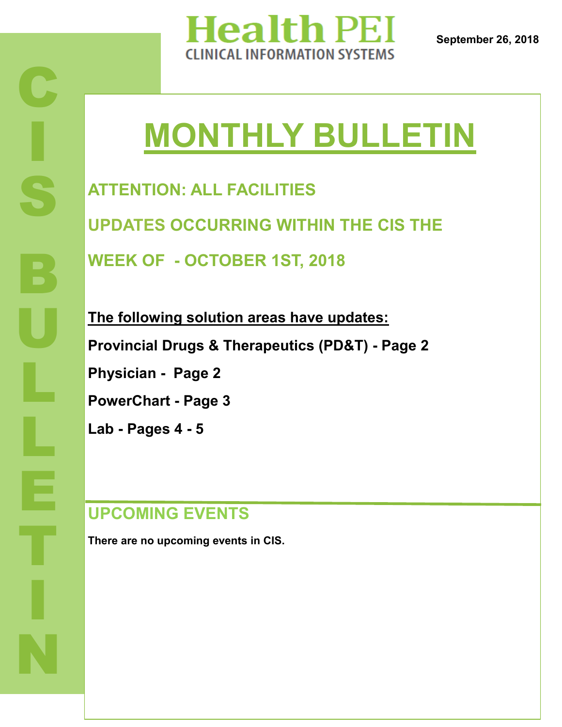

# **MONTHLY BULLETIN**

**ATTENTION: ALL FACILITIES UPDATES OCCURRING WITHIN THE CIS THE WEEK OF - OCTOBER 1ST, 2018**

**The following solution areas have updates: Provincial Drugs & Therapeutics (PD&T) - Page 2 Physician - Page 2 PowerChart - Page 3 Lab - Pages 4 - 5**

# **UPCOMING EVENTS**

**There are no upcoming events in CIS.**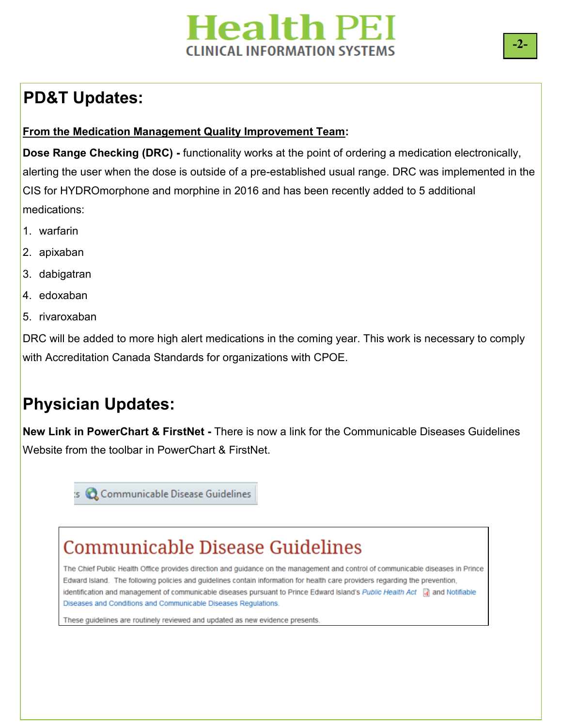# **Health PEI INICAL INFORMATION SYSTEMS**

# **PD&T Updates:**

### **From the Medication Management Quality Improvement Team:**

**Dose Range Checking (DRC) -** functionality works at the point of ordering a medication electronically, alerting the user when the dose is outside of a pre-established usual range. DRC was implemented in the CIS for HYDROmorphone and morphine in 2016 and has been recently added to 5 additional medications:

- 1. warfarin
- 2. apixaban
- 3. dabigatran
- 4. edoxaban
- 5. rivaroxaban

DRC will be added to more high alert medications in the coming year. This work is necessary to comply with Accreditation Canada Standards for organizations with CPOE.

# **Physician Updates:**

**New Link in PowerChart & FirstNet -** There is now a link for the Communicable Diseases Guidelines Website from the toolbar in PowerChart & FirstNet.

s C Communicable Disease Guidelines

# **Communicable Disease Guidelines**

The Chief Public Health Office provides direction and guidance on the management and control of communicable diseases in Prince Edward Island. The following policies and guidelines contain information for health care providers regarding the prevention, identification and management of communicable diseases pursuant to Prince Edward Island's Public Health Act and Notifiable Diseases and Conditions and Communicable Diseases Regulations.

These guidelines are routinely reviewed and updated as new evidence presents.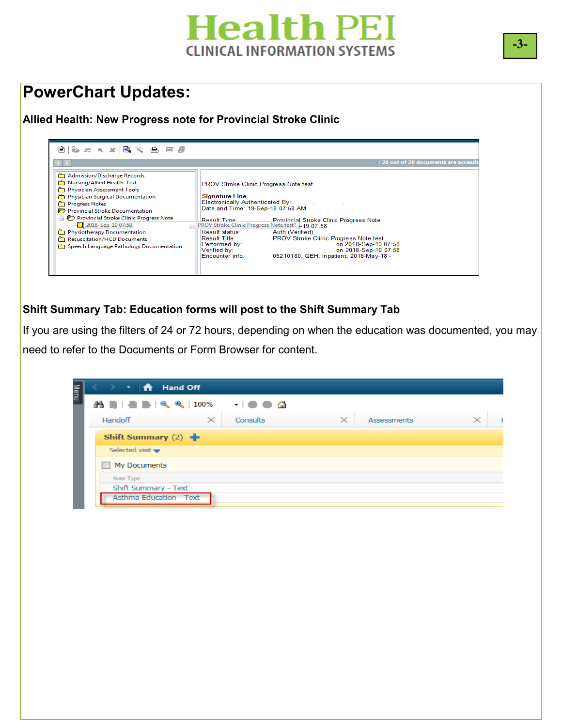# **Health PEI CLINICAL INFORMATION SYSTEMS**

### **PowerChart Updates:**

### **Allied Health: New Progress note for Provincial Stroke Clinic**

| 12) 2 - 12 X B (* 12 F #                                                                                                                                                                                                                                                                                                                                                         |                                                                                                                                                                                                                                                                                                                                                                                                                                                                                                                               |
|----------------------------------------------------------------------------------------------------------------------------------------------------------------------------------------------------------------------------------------------------------------------------------------------------------------------------------------------------------------------------------|-------------------------------------------------------------------------------------------------------------------------------------------------------------------------------------------------------------------------------------------------------------------------------------------------------------------------------------------------------------------------------------------------------------------------------------------------------------------------------------------------------------------------------|
| $\leftarrow$                                                                                                                                                                                                                                                                                                                                                                     | : 36 out of 36 documents are accessi                                                                                                                                                                                                                                                                                                                                                                                                                                                                                          |
| Admission/Discharge Records<br>Mursing/Allied Health-Text<br>Physician Assessment Tools<br>Physician Surgical Documentation<br><b>Progress Notes</b><br>Provincial Stroke Documentation<br>Provincial Stroke Clinic Progress Note<br>$\sim$ 2018-Sep-19 07:58<br><b>no Physiotherapy Documentation</b><br>Resuscitation/HCD Documents<br>Speech Language Pathology Documentation | <b>IPROV Stroke Clinic Progress Note test</b><br><b>Signature Line</b><br>Electronically Authenticated By:<br>Date and Time: 19-Sep-18 07:58 AM<br>Result Type:<br><b>Provincial Stroke Clinic Progress Note</b><br>- "PROV Stroke Clinic Progress Note test" - 19 07:58<br>Result status:<br>Auth (Verified)<br>Result Title:<br><b>PROV Stroke Clinic Progress Note test</b><br>on 2018-Sep-19 07:58<br>Performed by:<br>on 2018-Sep-19 07:58<br>Verified by:<br>05210180, QEH, Inpatient, 2018-May-18 -<br>Encounter info: |

### **Shift Summary Tab: Education forms will post to the Shift Summary Tab**

 $\mathbf{E}$ If you are using the filters of 24 or 72 hours, depending on when the education was documented, you may need to refer to the Documents or Form Browser for content.

| $\mathbf{r}$ and $\mathbf{r}$<br><b>Hand Off</b><br>->         |                                               |          |                    |          |
|----------------------------------------------------------------|-----------------------------------------------|----------|--------------------|----------|
| $\mathbf{A} \equiv  \mathbf{A}  \equiv  \mathbf{A}  \ll 100\%$ | - 61<br>$\mathbf{r}$ , and the $\mathbf{0}$ . |          |                    |          |
| $\times$<br>Handoff                                            | Consults                                      | $\times$ | <b>Assessments</b> | $\times$ |
| Shift Summary $(2)$                                            |                                               |          |                    |          |
| Selected visit $\blacktriangleright$                           |                                               |          |                    |          |
| My Documents                                                   |                                               |          |                    |          |
| Note Type                                                      |                                               |          |                    |          |
| Shift Summary - Text                                           |                                               |          |                    |          |
| Asthma Education - Text                                        |                                               |          |                    |          |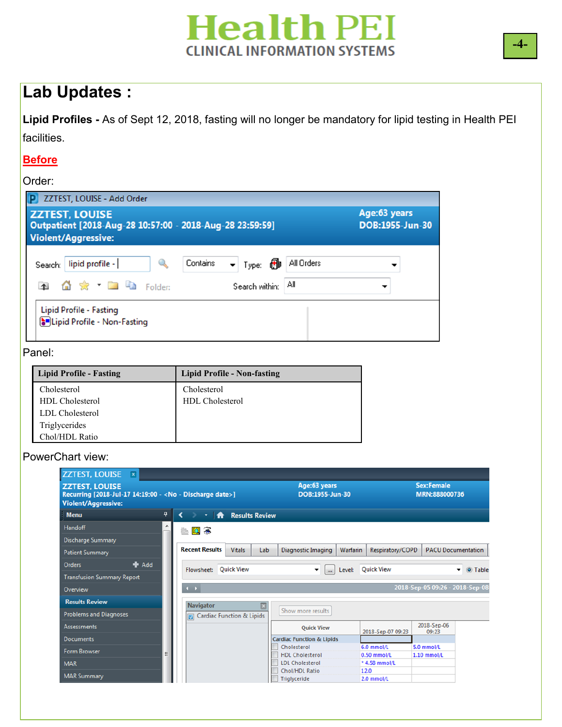# **Health PEI CLINICAL INFORMATION SYSTEMS**

### **Lab Updates :**

**Lipid Profiles -** As of Sept 12, 2018, fasting will no longer be mandatory for lipid testing in Health PEI facilities.

### **Before**

#### Order:

| <b>ZZTEST, LOUISE</b><br>Outpatient [2018-Aug-28 10:57:00 - 2018-Aug-28 23:59:59]<br><b>Violent/Aggressive:</b> |                                          | Age:63 years<br>DOB:1955-Jun-30 |  |  |
|-----------------------------------------------------------------------------------------------------------------|------------------------------------------|---------------------------------|--|--|
| lipid profile -<br>Search:  <br><sup>公</sup> ☆ ▼ ■ ■ Folder:<br>$\uparrow$                                      | Contains<br>▼ Type: 69<br>Search within: | All Orders<br>Αll               |  |  |

### Panel:

| Lipid Profile - Fasting | <b>Lipid Profile - Non-fasting</b> |
|-------------------------|------------------------------------|
| Cholesterol             | Cholesterol                        |
| HDL Cholesterol         | <b>HDL</b> Cholesterol             |
| LDL Cholesterol         |                                    |
| Triglycerides           |                                    |
| Chol/HDL Ratio          |                                    |

### PowerChart view:

| <b>ZZTEST, LOUISE</b><br>Recurring [2018-Jul-17 14:19:00 - < No - Discharge date>]<br><b>Violent/Aggressive:</b> |    |                               |                                      | Age:63 years<br>DOB:1955-Jun-30                 |                              | <b>Sex:Female</b><br>MRN:888000736 |                                     |
|------------------------------------------------------------------------------------------------------------------|----|-------------------------------|--------------------------------------|-------------------------------------------------|------------------------------|------------------------------------|-------------------------------------|
| <b>Menu</b>                                                                                                      | n, | ∢<br>$\overline{\phantom{a}}$ | <b>Results Review</b><br>₩           |                                                 |                              |                                    |                                     |
| <b>Handoff</b>                                                                                                   | ۸  | 撫園多                           |                                      |                                                 |                              |                                    |                                     |
| <b>Discharge Summary</b>                                                                                         |    |                               |                                      |                                                 |                              |                                    |                                     |
| <b>Patient Summary</b>                                                                                           |    | <b>Recent Results</b>         | <b>Vitals</b><br>Lab                 | Diagnostic Imaging                              | Warfarin<br>Respiratory/COPD |                                    | <b>PACU Documentation</b>           |
| $#$ Add<br><b>Orders</b>                                                                                         |    |                               | Flowsheet: Quick View                | Level:<br>۰<br>$\cdots$                         | <b>Quick View</b>            |                                    | O Table<br>$\overline{\phantom{0}}$ |
| <b>Transfusion Summary Report</b>                                                                                |    |                               |                                      |                                                 |                              |                                    |                                     |
| Overview                                                                                                         |    | $\leftarrow$                  |                                      |                                                 |                              | 2018-Sep-05 09:26 - 2018-Sep-08    |                                     |
| <b>Results Review</b>                                                                                            |    | Navigator                     |                                      |                                                 |                              |                                    |                                     |
| <b>Problems and Diagnoses</b>                                                                                    |    |                               | <b>Cardiac Function &amp; Lipids</b> | Show more results                               |                              |                                    |                                     |
| <b>Assessments</b>                                                                                               |    |                               |                                      | <b>Ouick View</b>                               | 2018-Sep-07 09:23            | 2018-Sep-06<br>09:23               |                                     |
| <b>Documents</b>                                                                                                 |    |                               |                                      | <b>Cardiac Function &amp; Lipids</b>            |                              |                                    |                                     |
| <b>Form Browser</b>                                                                                              |    |                               |                                      | Cholesterol                                     | 6.0 mmol/L                   | $5.0$ mmol/L                       |                                     |
|                                                                                                                  |    |                               |                                      | <b>HDL Cholesterol</b>                          | 0.50 mmol/L                  | $1.10$ mmol/L                      |                                     |
| <b>MAR</b>                                                                                                       |    |                               |                                      | <b>LDL Cholesterol</b><br><b>Chol/HDL Ratio</b> | *4.58 mmol/L<br>12.0         |                                    |                                     |
| <b>MAR Summary</b>                                                                                               |    |                               |                                      | Triglyceride                                    | 2.0 mmol/L                   |                                    |                                     |

**-4-**